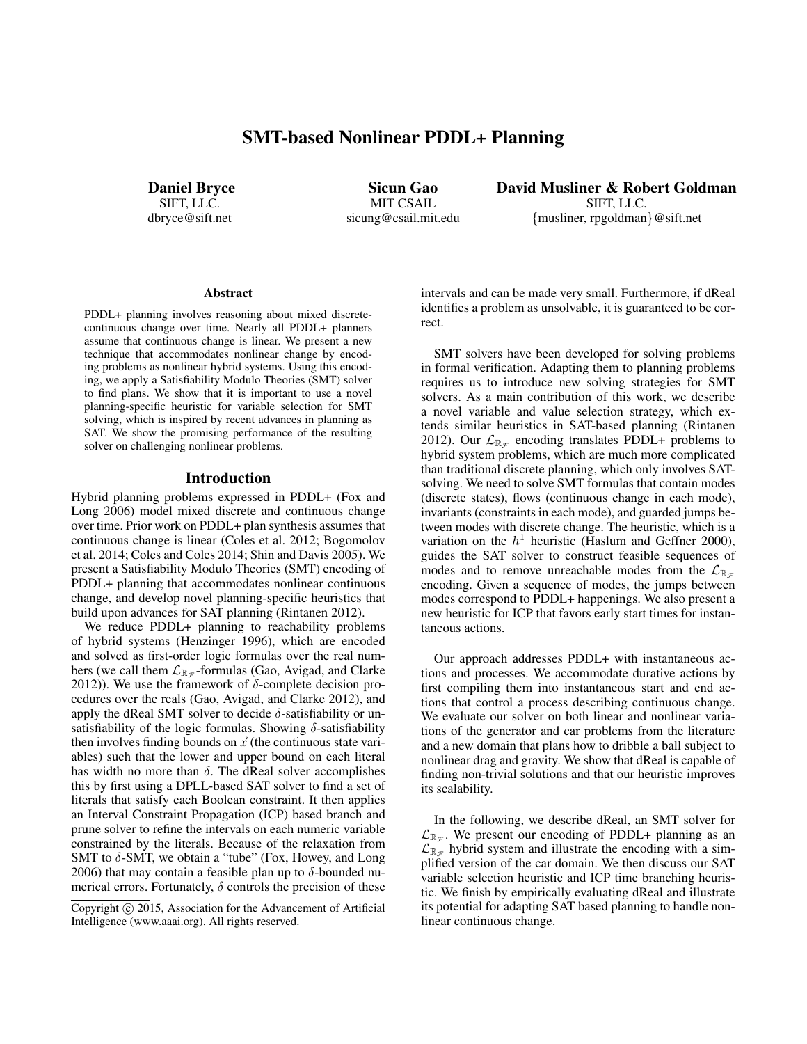# SMT-based Nonlinear PDDL+ Planning

Daniel Bryce SIFT, LLC. dbryce@sift.net

Sicun Gao MIT CSAIL sicung@csail.mit.edu David Musliner & Robert Goldman SIFT, LLC. {musliner, rpgoldman}@sift.net

#### Abstract

PDDL+ planning involves reasoning about mixed discretecontinuous change over time. Nearly all PDDL+ planners assume that continuous change is linear. We present a new technique that accommodates nonlinear change by encoding problems as nonlinear hybrid systems. Using this encoding, we apply a Satisfiability Modulo Theories (SMT) solver to find plans. We show that it is important to use a novel planning-specific heuristic for variable selection for SMT solving, which is inspired by recent advances in planning as SAT. We show the promising performance of the resulting solver on challenging nonlinear problems.

#### Introduction

Hybrid planning problems expressed in PDDL+ (Fox and Long 2006) model mixed discrete and continuous change over time. Prior work on PDDL+ plan synthesis assumes that continuous change is linear (Coles et al. 2012; Bogomolov et al. 2014; Coles and Coles 2014; Shin and Davis 2005). We present a Satisfiability Modulo Theories (SMT) encoding of PDDL+ planning that accommodates nonlinear continuous change, and develop novel planning-specific heuristics that build upon advances for SAT planning (Rintanen 2012).

We reduce PDDL+ planning to reachability problems of hybrid systems (Henzinger 1996), which are encoded and solved as first-order logic formulas over the real numbers (we call them  $\mathcal{L}_{\mathbb{R}_{\mathcal{F}}}$ -formulas (Gao, Avigad, and Clarke 2012)). We use the framework of  $\delta$ -complete decision procedures over the reals (Gao, Avigad, and Clarke 2012), and apply the dReal SMT solver to decide  $\delta$ -satisfiability or unsatisfiability of the logic formulas. Showing  $\delta$ -satisfiability then involves finding bounds on  $\vec{x}$  (the continuous state variables) such that the lower and upper bound on each literal has width no more than  $\delta$ . The dReal solver accomplishes this by first using a DPLL-based SAT solver to find a set of literals that satisfy each Boolean constraint. It then applies an Interval Constraint Propagation (ICP) based branch and prune solver to refine the intervals on each numeric variable constrained by the literals. Because of the relaxation from SMT to  $\delta$ -SMT, we obtain a "tube" (Fox, Howey, and Long 2006) that may contain a feasible plan up to  $\delta$ -bounded numerical errors. Fortunately,  $\delta$  controls the precision of these intervals and can be made very small. Furthermore, if dReal identifies a problem as unsolvable, it is guaranteed to be correct.

SMT solvers have been developed for solving problems in formal verification. Adapting them to planning problems requires us to introduce new solving strategies for SMT solvers. As a main contribution of this work, we describe a novel variable and value selection strategy, which extends similar heuristics in SAT-based planning (Rintanen 2012). Our  $\mathcal{L}_{\mathbb{R}_{\mathcal{F}}}$  encoding translates PDDL+ problems to hybrid system problems, which are much more complicated than traditional discrete planning, which only involves SATsolving. We need to solve SMT formulas that contain modes (discrete states), flows (continuous change in each mode), invariants (constraints in each mode), and guarded jumps between modes with discrete change. The heuristic, which is a variation on the  $h<sup>1</sup>$  heuristic (Haslum and Geffner 2000), guides the SAT solver to construct feasible sequences of modes and to remove unreachable modes from the  $\mathcal{L}_{\mathbb{R}_{\tau}}$ encoding. Given a sequence of modes, the jumps between modes correspond to PDDL+ happenings. We also present a new heuristic for ICP that favors early start times for instantaneous actions.

Our approach addresses PDDL+ with instantaneous actions and processes. We accommodate durative actions by first compiling them into instantaneous start and end actions that control a process describing continuous change. We evaluate our solver on both linear and nonlinear variations of the generator and car problems from the literature and a new domain that plans how to dribble a ball subject to nonlinear drag and gravity. We show that dReal is capable of finding non-trivial solutions and that our heuristic improves its scalability.

In the following, we describe dReal, an SMT solver for  $\mathcal{L}_{\mathbb{R}_{\mathcal{F}}}$ . We present our encoding of PDDL+ planning as an  $\mathcal{L}_{\mathbb{R}_{\mathcal{F}}}$  hybrid system and illustrate the encoding with a simplified version of the car domain. We then discuss our SAT variable selection heuristic and ICP time branching heuristic. We finish by empirically evaluating dReal and illustrate its potential for adapting SAT based planning to handle nonlinear continuous change.

Copyright (c) 2015, Association for the Advancement of Artificial Intelligence (www.aaai.org). All rights reserved.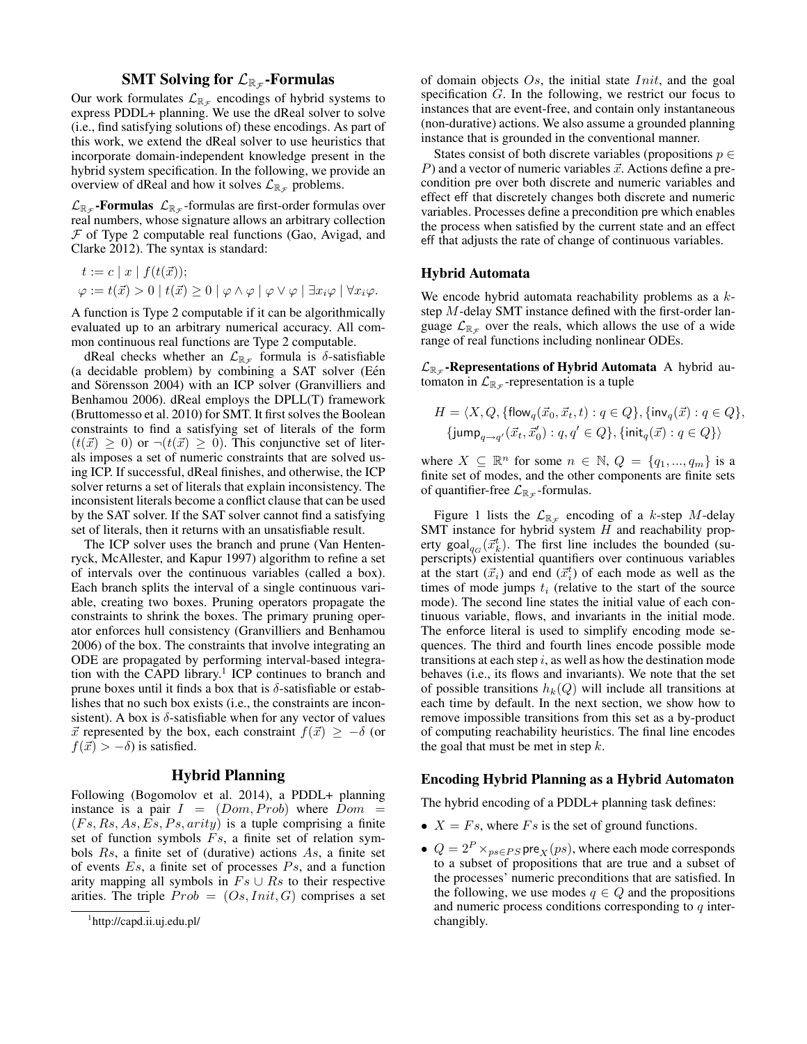# SMT Solving for  $\mathcal{L}_{\mathbb{R}_\mathcal{F}}$ -Formulas

Our work formulates  $\mathcal{L}_{\mathbb{R}_{\mathcal{F}}}$  encodings of hybrid systems to express PDDL+ planning. We use the dReal solver to solve (i.e., find satisfying solutions of) these encodings. As part of this work, we extend the dReal solver to use heuristics that incorporate domain-independent knowledge present in the hybrid system specification. In the following, we provide an overview of dReal and how it solves  $\mathcal{L}_{\mathbb{R}_{\mathcal{F}}}$  problems.

 $\mathcal{L}_{\mathbb{R}_{\mathcal{F}}}$ -**Formulas**  $\mathcal{L}_{\mathbb{R}_{\mathcal{F}}}$ -formulas are first-order formulas over real numbers, whose signature allows an arbitrary collection  $F$  of Type 2 computable real functions (Gao, Avigad, and Clarke 2012). The syntax is standard:

$$
t := c | x | f(t(\vec{x}));
$$
  

$$
\varphi := t(\vec{x}) > 0 | t(\vec{x}) \ge 0 | \varphi \wedge \varphi | \varphi \vee \varphi | \exists x_i \varphi | \forall x_i \varphi.
$$

A function is Type 2 computable if it can be algorithmically evaluated up to an arbitrary numerical accuracy. All common continuous real functions are Type 2 computable.

dReal checks whether an  $\mathcal{L}_{\mathbb{R}_{\mathcal{F}}}$  formula is  $\delta$ -satisfiable  $(a \cdot \text{decidable problem})$  by combining a SAT solver (Eén and Sörensson 2004) with an ICP solver (Granvilliers and Benhamou 2006). dReal employs the DPLL(T) framework (Bruttomesso et al. 2010) for SMT. It first solves the Boolean constraints to find a satisfying set of literals of the form  $(t(\vec{x}) \geq 0)$  or  $\neg (t(\vec{x}) \geq 0)$ . This conjunctive set of literals imposes a set of numeric constraints that are solved using ICP. If successful, dReal finishes, and otherwise, the ICP solver returns a set of literals that explain inconsistency. The inconsistent literals become a conflict clause that can be used by the SAT solver. If the SAT solver cannot find a satisfying set of literals, then it returns with an unsatisfiable result.

The ICP solver uses the branch and prune (Van Hentenryck, McAllester, and Kapur 1997) algorithm to refine a set of intervals over the continuous variables (called a box). Each branch splits the interval of a single continuous variable, creating two boxes. Pruning operators propagate the constraints to shrink the boxes. The primary pruning operator enforces hull consistency (Granvilliers and Benhamou 2006) of the box. The constraints that involve integrating an ODE are propagated by performing interval-based integration with the CAPD library.<sup>1</sup> ICP continues to branch and prune boxes until it finds a box that is  $\delta$ -satisfiable or establishes that no such box exists (i.e., the constraints are inconsistent). A box is  $\delta$ -satisfiable when for any vector of values  $\vec{x}$  represented by the box, each constraint  $f(\vec{x}) \geq -\delta$  (or  $f(\vec{x}) > -\delta$ ) is satisfied.

## Hybrid Planning

Following (Bogomolov et al. 2014), a PDDL+ planning instance is a pair  $I = (Dom, Prob)$  where  $Dom =$  $(Fs, Rs, As, Es, Ps, arity)$  is a tuple comprising a finite set of function symbols  $Fs$ , a finite set of relation symbols Rs, a finite set of (durative) actions As, a finite set of events  $Es$ , a finite set of processes  $Ps$ , and a function arity mapping all symbols in  $Fs \cup Rs$  to their respective arities. The triple  $Prob = (Os,Init, G)$  comprises a set

of domain objects  $Os$ , the initial state *Init*, and the goal specification G. In the following, we restrict our focus to instances that are event-free, and contain only instantaneous (non-durative) actions. We also assume a grounded planning instance that is grounded in the conventional manner.

States consist of both discrete variables (propositions  $p \in$ P) and a vector of numeric variables  $\vec{x}$ . Actions define a precondition pre over both discrete and numeric variables and effect eff that discretely changes both discrete and numeric variables. Processes define a precondition pre which enables the process when satisfied by the current state and an effect eff that adjusts the rate of change of continuous variables.

## Hybrid Automata

We encode hybrid automata reachability problems as a  $k$ step M-delay SMT instance defined with the first-order language  $\mathcal{L}_{\mathbb{R}_{\mathcal{F}}}$  over the reals, which allows the use of a wide range of real functions including nonlinear ODEs.

 $\mathcal{L}_{\mathbb{R}_{\mathcal{F}}}$ -Representations of Hybrid Automata A hybrid automaton in  $\mathcal{L}_{\mathbb{R}_\mathcal{F}}$ -representation is a tuple

$$
H = \langle X, Q, \{\mathsf{flow}_q(\vec{x}_0, \vec{x}_t, t) : q \in Q\}, \{\mathsf{inv}_q(\vec{x}) : q \in Q\},\
$$
  

$$
\{\mathsf{jump}_{q \to q'}(\vec{x}_t, \vec{x}'_0) : q, q' \in Q\}, \{\mathsf{init}_q(\vec{x}) : q \in Q\}\rangle
$$

where  $X \subseteq \mathbb{R}^n$  for some  $n \in \mathbb{N}$ ,  $Q = \{q_1, ..., q_m\}$  is a finite set of modes, and the other components are finite sets of quantifier-free  $\mathcal{L}_{\mathbb{R}_{\mathcal{F}}}$ -formulas.

Figure 1 lists the  $\mathcal{L}_{\mathbb{R}_{\mathcal{F}}}$  encoding of a k-step M-delay SMT instance for hybrid system  $H$  and reachability property goal $_{q_G}(\vec{x}_k^t)$ . The first line includes the bounded (superscripts) existential quantifiers over continuous variables at the start  $(\vec{x}_i)$  and end  $(\vec{x}_i^t)$  of each mode as well as the times of mode jumps  $t_i$  (relative to the start of the source mode). The second line states the initial value of each continuous variable, flows, and invariants in the initial mode. The enforce literal is used to simplify encoding mode sequences. The third and fourth lines encode possible mode transitions at each step  $i$ , as well as how the destination mode behaves (i.e., its flows and invariants). We note that the set of possible transitions  $h_k(Q)$  will include all transitions at each time by default. In the next section, we show how to remove impossible transitions from this set as a by-product of computing reachability heuristics. The final line encodes the goal that must be met in step  $k$ .

### Encoding Hybrid Planning as a Hybrid Automaton

The hybrid encoding of a PDDL+ planning task defines:

- $X = Fs$ , where  $Fs$  is the set of ground functions.
- $Q = 2^P \times_{ps \in PS} \text{pre}_X(ps)$ , where each mode corresponds to a subset of propositions that are true and a subset of the processes' numeric preconditions that are satisfied. In the following, we use modes  $q \in Q$  and the propositions and numeric process conditions corresponding to  $q$  interchangibly.

<sup>1</sup> http://capd.ii.uj.edu.pl/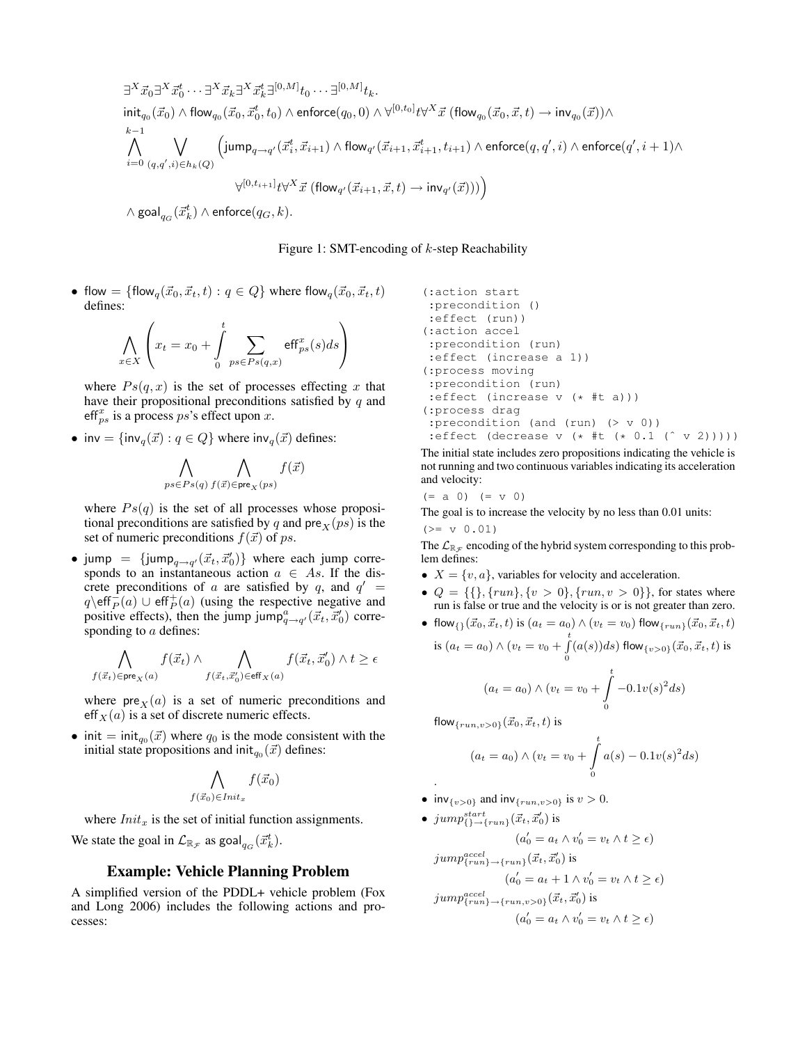∃ <sup>X</sup>~x0∃ <sup>X</sup>~x<sup>t</sup> 0 · · · ∃<sup>X</sup>~xk∃ <sup>X</sup>~x<sup>t</sup> k∃ [0,M] t<sup>0</sup> · · · ∃[0,M] tk. initq<sup>0</sup> (~x0) ∧ flowq<sup>0</sup> (~x0, ~x<sup>t</sup> 0 , t0) ∧ enforce(q0, 0) ∧ ∀[0,t0] t∀ <sup>X</sup>~x (flowq<sup>0</sup> (~x0, ~x, t) → invq<sup>0</sup> (~x))∧ k ^−1 i=0 \_ (q,q<sup>0</sup> ,i)∈hk(Q) jumpq→<sup>q</sup> <sup>0</sup> (~x<sup>t</sup> i , ~xi+1) ∧ flow<sup>q</sup> <sup>0</sup> (~xi+1, ~x<sup>t</sup> <sup>i</sup>+1, ti+1) ∧ enforce(q, q<sup>0</sup> , i) ∧ enforce(q 0 , i + 1)∧ ∀ [0,ti+1] t∀ <sup>X</sup>~x (flow<sup>q</sup> <sup>0</sup> (~xi+1, ~x, t) → inv<sup>q</sup> <sup>0</sup> (~x)))

 $\wedge$  goal $_{q_G}(\vec{x}_k^t) \wedge$  enforce $(q_G, k).$ 

# Figure 1: SMT-encoding of  $k$ -step Reachability

• flow = {flow<sub>q</sub> $(\vec{x}_0, \vec{x}_t, t) : q \in Q$ } where flow<sub>q</sub> $(\vec{x}_0, \vec{x}_t, t)$ defines:

$$
\bigwedge_{x \in X} \left( x_t = x_0 + \int_0^t \sum_{ps \in Ps(q,x)} \text{eff}^x_{ps}(s) ds \right)
$$

where  $Ps(q, x)$  is the set of processes effecting x that have their propositional preconditions satisfied by  $q$  and eff $_{ps}^{x}$  is a process ps's effect upon x.

• inv = {inv<sub>q</sub>( $\vec{x}$ ) :  $q \in Q$ } where inv<sub>q</sub>( $\vec{x}$ ) defines:

$$
\bigwedge_{ps \in Ps(q)} \bigwedge_{f(\vec{x}) \in \text{pre}_X(ps)} f(\vec{x})
$$

where  $Ps(q)$  is the set of all processes whose propositional preconditions are satisfied by q and pre $\chi(ps)$  is the set of numeric preconditions  $f(\vec{x})$  of ps.

• jump = {jump<sub>q→q'</sub>( $\vec{x}_t$ ,  $\vec{x}'_0$ )} where each jump corresponds to an instantaneous action  $a \in As$ . If the discrete preconditions of a are satisfied by q, and  $q' =$  $q \setminus \text{eff}^-_P(a) \cup \text{eff}^+_P(a)$  (using the respective negative and positive effects), then the jump jump $p_{q \to q'}^a(\vec{x}_t, \vec{x}_0')$  corresponding to a defines:

$$
\bigwedge_{f(\vec{x}_t) \in \text{pre}_X(a)} f(\vec{x}_t) \land \bigwedge_{f(\vec{x}_t, \vec{x}'_0) \in \text{eff}_X(a)} f(\vec{x}_t, \vec{x}'_0) \land t \geq \epsilon
$$

where  $pre<sub>X</sub>(a)$  is a set of numeric preconditions and eff  $X(a)$  is a set of discrete numeric effects.

• init = init<sub>q0</sub>( $\vec{x}$ ) where q<sub>0</sub> is the mode consistent with the initial state propositions and init $_{q_0}(\vec{x})$  defines:

$$
\bigwedge_{f(\vec{x}_0)\in\mathit{Init}_x} f(\vec{x}_0)
$$

where  $Init_x$  is the set of initial function assignments.

We state the goal in  $\mathcal{L}_{\mathbb{R}_{\mathcal{F}}}$  as goal $_{q_G}(\vec{x}_k^t)$ .

# Example: Vehicle Planning Problem

A simplified version of the PDDL+ vehicle problem (Fox and Long 2006) includes the following actions and processes:

```
(:action start
:precondition ()
:effect (run))
(:action accel
:precondition (run)
:effect (increase a 1))
(:process moving
:precondition (run)
 :effect (increase v (* #t a)))
(:process drag
 :precondition (and (run) (> v 0))
 :effect (decrease v (* #t (* 0.1 (ˆ v 2)))))
```
The initial state includes zero propositions indicating the vehicle is not running and two continuous variables indicating its acceleration and velocity:

$$
(= a 0) (= v 0)
$$

The goal is to increase the velocity by no less than 0.01 units:

 $(>= v 0.01)$ 

.

 $j'$ 

The  $\mathcal{L}_{\mathbb{R}F}$  encoding of the hybrid system corresponding to this problem defines:

- $X = \{v, a\}$ , variables for velocity and acceleration.
- $Q = \{\{\}, \{run\}, \{v > 0\}, \{run, v > 0\}\}\$ , for states where run is false or true and the velocity is or is not greater than zero.<br>  $f(x) = \frac{d^2x}{dx^2} + \frac{1}{2} \ln (a_1 - a_2) \wedge (a_2 - a_3)$  flow  $f(x) = \frac{1}{2} (\vec{x}_0, \vec{x}_1, t)$  $\begin{pmatrix}\n\vec{a} & \vec{a} & t\n\end{pmatrix}$  is  $(a = a) \wedge (v = v)$  flow

• 
$$
\text{flow}_{\{1\}}(x_0, \dot{x_t}, t)
$$
 is  $(a_t = a_0) \land (v_t = v_0) \text{ flow}_{\{run\}}(x_0, \dot{x_t}, t)$   
is  $(a_t = a_0) \land (v_t = v_0 + \int_0^t (a(s))ds) \text{ flow}_{\{v > 0\}}(\vec{x}_0, \vec{x_t}, t)$  is

$$
(a_t = a_0) \wedge (v_t = v_0 + \int_0^t -0.1v(s)^2 ds)
$$

flow  $_{\{run,v>0\}}({\vec{x}}_0, {\vec{x}}_t, t)$  is

$$
(a_t = a_0) \wedge (v_t = v_0 + \int_0^t a(s) - 0.1v(s)^2 ds)
$$

- inv<sub>{v>0}</sub> and inv<sub>{run,v>0}</sub> is  $v > 0$ .
- jump<sup>start</sup><sub>{}</sub> $\rightarrow$ {run}</sub> $(\vec{x}_t, \vec{x}'_0)$  is

$$
(a'_0 = a_t \land v'_0 = v_t \land t \ge \epsilon)
$$
  

$$
jump_{\{run\}}^{accel}
$$

$$
(a'_0 = a_t + 1 \land v'_0 = v_t \land t \ge \epsilon)
$$
  

$$
jump_{\{run\} \to \{run, v > 0\}}^{accel}
$$

$$
(a'_t, \vec{x}'_0)
$$
is

$$
(a'_0 = a_t \wedge v'_0 = v_t \wedge t \ge \epsilon)
$$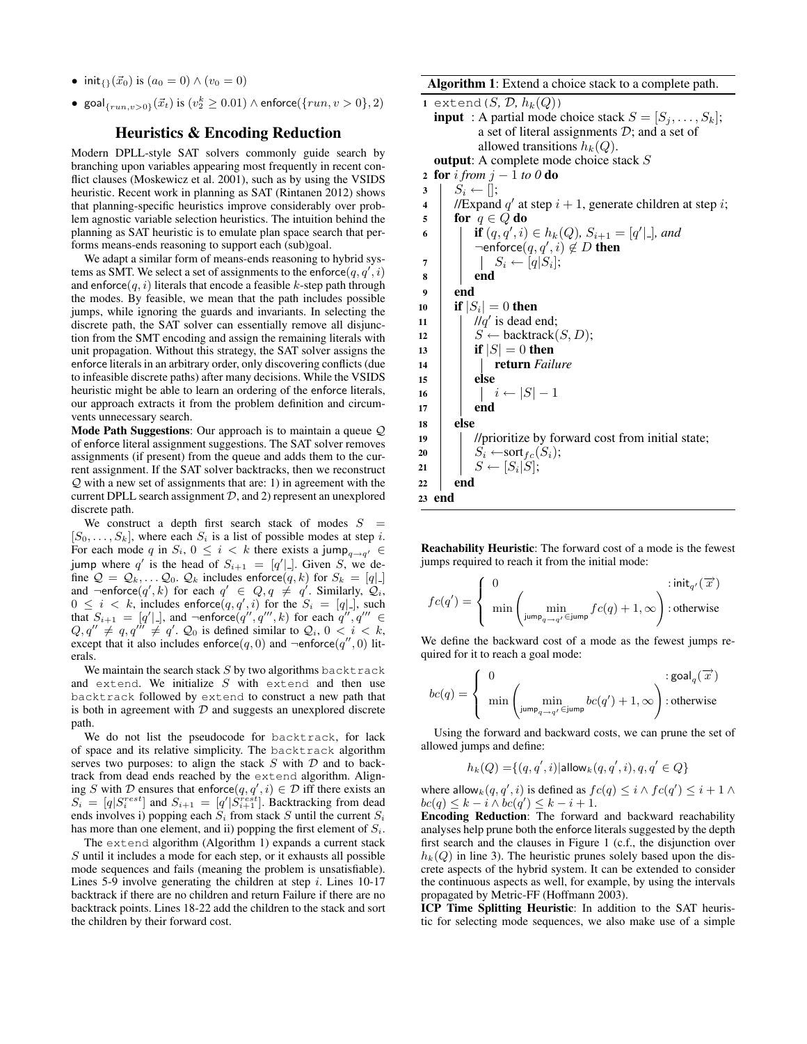- init<sub>{}</sub>( $\vec{x}_0$ ) is ( $a_0 = 0$ )  $\wedge$  ( $v_0 = 0$ )
- $\text{goal}_{\{run,v>0\}}(\vec{x}_t)$  is  $(v_2^k \geq 0.01) \land \text{enforce}(\{run, v > 0\}, 2)$

## Heuristics & Encoding Reduction

Modern DPLL-style SAT solvers commonly guide search by branching upon variables appearing most frequently in recent conflict clauses (Moskewicz et al. 2001), such as by using the VSIDS heuristic. Recent work in planning as SAT (Rintanen 2012) shows that planning-specific heuristics improve considerably over problem agnostic variable selection heuristics. The intuition behind the planning as SAT heuristic is to emulate plan space search that performs means-ends reasoning to support each (sub)goal.

We adapt a similar form of means-ends reasoning to hybrid systems as SMT. We select a set of assignments to the enforce  $(q, q', i)$ and enforce $(q, i)$  literals that encode a feasible k-step path through the modes. By feasible, we mean that the path includes possible jumps, while ignoring the guards and invariants. In selecting the discrete path, the SAT solver can essentially remove all disjunction from the SMT encoding and assign the remaining literals with unit propagation. Without this strategy, the SAT solver assigns the enforce literals in an arbitrary order, only discovering conflicts (due to infeasible discrete paths) after many decisions. While the VSIDS heuristic might be able to learn an ordering of the enforce literals, our approach extracts it from the problem definition and circumvents unnecessary search.

**Mode Path Suggestions:** Our approach is to maintain a queue  $Q$ of enforce literal assignment suggestions. The SAT solver removes assignments (if present) from the queue and adds them to the current assignment. If the SAT solver backtracks, then we reconstruct  $Q$  with a new set of assignments that are: 1) in agreement with the current DPLL search assignment  $D$ , and 2) represent an unexplored discrete path.

We construct a depth first search stack of modes  $S =$  $[S_0, \ldots, S_k]$ , where each  $S_i$  is a list of possible modes at step i. For each mode q in  $S_i$ ,  $0 \leq i < k$  there exists a jump<sub>q $\rightarrow q' \in$ </sub> jump where q' is the head of  $S_{i+1} = [q']$ . Given S, we define  $\mathcal{Q} = \mathcal{Q}_k, \dots \mathcal{Q}_0$ .  $\mathcal{Q}_k$  includes enforce $(q, k)$  for  $S_k = [q]$ . and  $\neg$ enforce $(q',k)$  for each  $q' \in Q, q \neq q'$ . Similarly,  $\mathcal{Q}_i$ ,  $0 \leq i \leq k$ , includes enforce $(q, q', i)$  for the  $S_i = [q]$ . such that  $S_{i+1} = [q']$ , and  $\neg$ enforce $(q'', q''', k)$  for each  $q'', q''' \in$  $Q, q'' \neq q, q''' \neq q'$ .  $Q_0$  is defined similar to  $Q_i$ ,  $0 < i < k$ , except that it also includes enforce $(q, 0)$  and  $\neg$ enforce $(q'', 0)$  literals.

We maintain the search stack  $S$  by two algorithms backtrack and extend. We initialize  $S$  with extend and then use backtrack followed by extend to construct a new path that is both in agreement with  $D$  and suggests an unexplored discrete path.

We do not list the pseudocode for backtrack, for lack of space and its relative simplicity. The backtrack algorithm serves two purposes: to align the stack  $S$  with  $D$  and to backtrack from dead ends reached by the extend algorithm. Aligning S with D ensures that enforce $(q, q', i) \in \mathcal{D}$  iff there exists an  $S_i = [q|S_i^{rest}]$  and  $S_{i+1} = [q'|S_{i+1}^{resit}]$ . Backtracking from dead ends involves i) popping each  $S_i$  from stack S until the current  $S_i$ has more than one element, and ii) popping the first element of  $S_i$ .

The extend algorithm (Algorithm 1) expands a current stack S until it includes a mode for each step, or it exhausts all possible mode sequences and fails (meaning the problem is unsatisfiable). Lines 5-9 involve generating the children at step  $i$ . Lines 10-17 backtrack if there are no children and return Failure if there are no backtrack points. Lines 18-22 add the children to the stack and sort the children by their forward cost.

### Algorithm 1: Extend a choice stack to a complete path.

1 extend  $(S, \mathcal{D}, h_k(Q))$ **input** : A partial mode choice stack  $S = [S_j, \ldots, S_k]$ ; a set of literal assignments  $\mathcal{D}$ ; and a set of allowed transitions  $h_k(Q)$ . output: A complete mode choice stack S <sup>2</sup> for i *from* j − 1 *to 0* do  $3 \mid S_i \leftarrow [];$ 4 | //Expand q' at step  $i + 1$ , generate children at step i; 5 for  $q \in Q$  do **if**  $(q, q', i) \in h_k(Q)$ ,  $S_{i+1} = [q' | ]$ , and  $\neg$ enforce $(q, q', i) \notin D$  then 7 | |  $S_i \leftarrow [q|S_i|;$ 8 | end 9 end 10 | if  $|S_i| = 0$  then 11  $\int$  //q' is dead end; 12 |  $S \leftarrow$  backtrack $(S, D)$ ; 13 **if**  $|S| = 0$  then 14 **return** *Failure*  $15$  else 16 | |  $i \leftarrow |S| - 1$ 17 **end** 18 else <sup>19</sup> //prioritize by forward cost from initial state; 20  $S_i \leftarrow sort_{fc}(S_i);$ 21 |  $S \leftarrow [S_i|S];$ 22 end 23 end

Reachability Heuristic: The forward cost of a mode is the fewest jumps required to reach it from the initial mode:

$$
fc(q')=\left\{\begin{array}{ll}0&\text{:\displaystyle init_{q'}(\overrightarrow{x})}\\ \min\left(\min\limits_{\text{jump}_{q\rightarrow q'}\in\text{jump}}fc(q)+1,\infty\right)\text{:}\,\text{otherwise}\end{array}\right.
$$

We define the backward cost of a mode as the fewest jumps required for it to reach a goal mode:

$$
bc(q) = \begin{cases} 0 & \text{: } \text{goal}_q(\overrightarrow{x}) \\ \min\left(\min_{\text{jump}_{q \to q'} \in \text{jump}} bc(q') + 1, \infty\right) : \text{otherwise} \end{cases}
$$

Using the forward and backward costs, we can prune the set of allowed jumps and define:

$$
h_k(Q)=\{(q,q',i)|\text{allow}_k(q,q',i),q,q'\in Q\}
$$

where allow<sub>k</sub> $(q, q', i)$  is defined as  $fc(q) \leq i \wedge fc(q') \leq i + 1 \wedge$  $bc(q) \leq k - i \wedge bc(q') \leq k - i + 1.$ 

Encoding Reduction: The forward and backward reachability analyses help prune both the enforce literals suggested by the depth first search and the clauses in Figure 1 (c.f., the disjunction over  $h_k(Q)$  in line 3). The heuristic prunes solely based upon the discrete aspects of the hybrid system. It can be extended to consider the continuous aspects as well, for example, by using the intervals propagated by Metric-FF (Hoffmann 2003).

ICP Time Splitting Heuristic: In addition to the SAT heuristic for selecting mode sequences, we also make use of a simple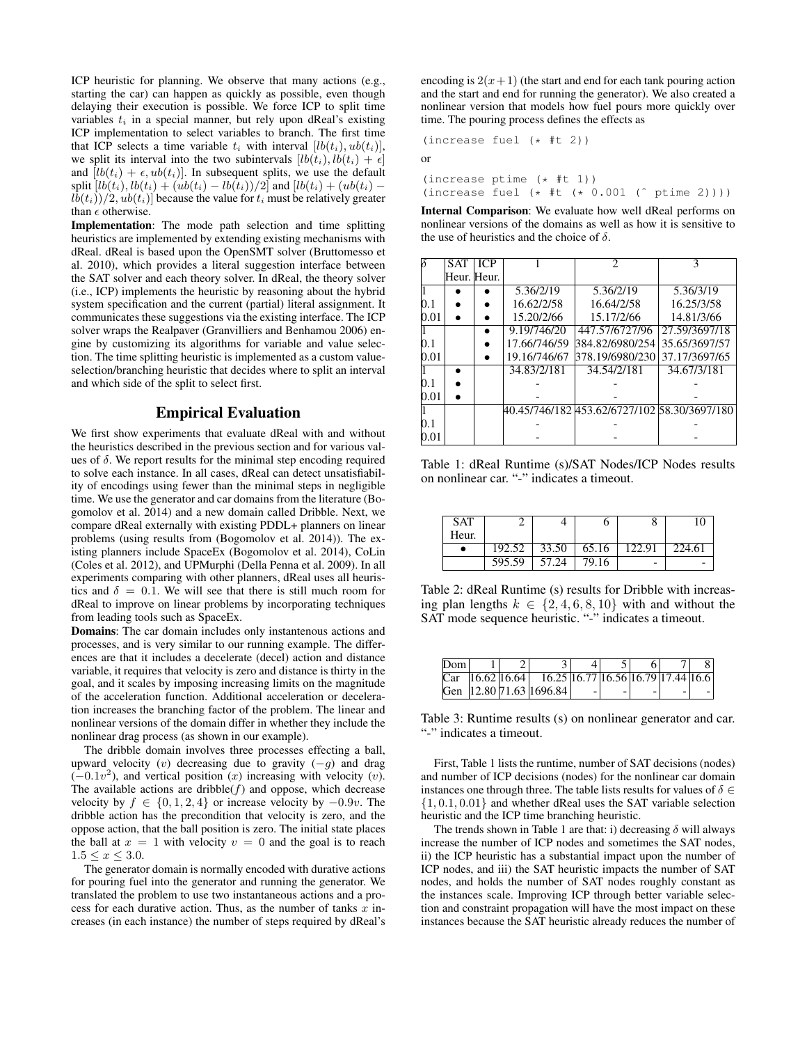ICP heuristic for planning. We observe that many actions (e.g., starting the car) can happen as quickly as possible, even though delaying their execution is possible. We force ICP to split time variables  $t_i$  in a special manner, but rely upon dReal's existing ICP implementation to select variables to branch. The first time that ICP selects a time variable  $t_i$  with interval  $[lb(t_i), ub(t_i)],$ we split its interval into the two subintervals  $[lb(t_i), lb(t_i) + \epsilon]$ and  $[lb(t_i) + \epsilon, ub(t_i)]$ . In subsequent splits, we use the default split  $[lb(t_i), lb(t_i) + (ub(t_i) - lb(t_i))/2]$  and  $[lb(t_i) + (ub(t_i) - lb(t_i))/2]$  $\left\lfloor \frac{lb(t_i)}{2}, \frac{ub(t_i)}{2} \right\rfloor$  because the value for  $t_i$  must be relatively greater than  $\epsilon$  otherwise.

Implementation: The mode path selection and time splitting heuristics are implemented by extending existing mechanisms with dReal. dReal is based upon the OpenSMT solver (Bruttomesso et al. 2010), which provides a literal suggestion interface between the SAT solver and each theory solver. In dReal, the theory solver (i.e., ICP) implements the heuristic by reasoning about the hybrid system specification and the current (partial) literal assignment. It communicates these suggestions via the existing interface. The ICP solver wraps the Realpaver (Granvilliers and Benhamou 2006) engine by customizing its algorithms for variable and value selection. The time splitting heuristic is implemented as a custom valueselection/branching heuristic that decides where to split an interval and which side of the split to select first.

## Empirical Evaluation

We first show experiments that evaluate dReal with and without the heuristics described in the previous section and for various values of  $\delta$ . We report results for the minimal step encoding required to solve each instance. In all cases, dReal can detect unsatisfiability of encodings using fewer than the minimal steps in negligible time. We use the generator and car domains from the literature (Bogomolov et al. 2014) and a new domain called Dribble. Next, we compare dReal externally with existing PDDL+ planners on linear problems (using results from (Bogomolov et al. 2014)). The existing planners include SpaceEx (Bogomolov et al. 2014), CoLin (Coles et al. 2012), and UPMurphi (Della Penna et al. 2009). In all experiments comparing with other planners, dReal uses all heuristics and  $\delta = 0.1$ . We will see that there is still much room for dReal to improve on linear problems by incorporating techniques from leading tools such as SpaceEx.

Domains: The car domain includes only instantenous actions and processes, and is very similar to our running example. The differences are that it includes a decelerate (decel) action and distance variable, it requires that velocity is zero and distance is thirty in the goal, and it scales by imposing increasing limits on the magnitude of the acceleration function. Additional acceleration or deceleration increases the branching factor of the problem. The linear and nonlinear versions of the domain differ in whether they include the nonlinear drag process (as shown in our example).

The dribble domain involves three processes effecting a ball, upward velocity (v) decreasing due to gravity  $(-q)$  and drag  $(-0.1v<sup>2</sup>)$ , and vertical position (x) increasing with velocity (v). The available actions are dribble( $f$ ) and oppose, which decrease velocity by  $f \in \{0, 1, 2, 4\}$  or increase velocity by  $-0.9v$ . The dribble action has the precondition that velocity is zero, and the oppose action, that the ball position is zero. The initial state places the ball at  $x = 1$  with velocity  $v = 0$  and the goal is to reach  $1.5 \leq x \leq 3.0.$ 

The generator domain is normally encoded with durative actions for pouring fuel into the generator and running the generator. We translated the problem to use two instantaneous actions and a process for each durative action. Thus, as the number of tanks  $\overline{x}$  increases (in each instance) the number of steps required by dReal's encoding is  $2(x+1)$  (the start and end for each tank pouring action and the start and end for running the generator). We also created a nonlinear version that models how fuel pours more quickly over time. The pouring process defines the effects as

(increase fuel (\* #t 2))

or

(increase ptime (\* #t 1)) (increase fuel (\* #t (\* 0.001 (ˆ ptime 2))))

Internal Comparison: We evaluate how well dReal performs on nonlinear versions of the domains as well as how it is sensitive to the use of heuristics and the choice of  $\delta$ .

|      | <b>SAT</b> | <b>ICP</b>  |              | 2                                            |               |
|------|------------|-------------|--------------|----------------------------------------------|---------------|
|      |            | Heur. Heur. |              |                                              |               |
|      |            |             | 5.36/2/19    | 5.36/2/19                                    | 5.36/3/19     |
| 0.1  |            |             | 16.62/2/58   | 16.64/2/58                                   | 16.25/3/58    |
| 0.01 |            |             | 15.20/2/66   | 15.17/2/66                                   | 14.81/3/66    |
|      |            |             | 9.19/746/20  | 447.57/6727/96                               | 27.59/3697/18 |
| 0.1  |            |             | 17.66/746/59 | 384.82/6980/254                              | 35.65/3697/57 |
| 0.01 |            |             | 19.16/746/67 | 378.19/6980/230                              | 37.17/3697/65 |
|      |            |             | 34.83/2/181  | 34.54/2/181                                  | 34.67/3/181   |
| 0.1  |            |             |              |                                              |               |
| 0.01 |            |             |              |                                              |               |
|      |            |             |              | 40.45/746/182 453.62/6727/102 58.30/3697/180 |               |
| 0.1  |            |             |              |                                              |               |
| 0.01 |            |             |              |                                              |               |

Table 1: dReal Runtime (s)/SAT Nodes/ICP Nodes results on nonlinear car. "-" indicates a timeout.

| <b>SAT</b> |        |       |       |                          |        |
|------------|--------|-------|-------|--------------------------|--------|
| Heur.      |        |       |       |                          |        |
|            | 192.52 | 33.50 | 65.16 | 122.91                   | 224.61 |
|            | 595.59 | 57.24 | 79.16 | $\overline{\phantom{0}}$ |        |

Table 2: dReal Runtime (s) results for Dribble with increasing plan lengths  $k \in \{2, 4, 6, 8, 10\}$  with and without the SAT mode sequence heuristic. "-" indicates a timeout.

| Dom |  |                                                                             |  |  |  |
|-----|--|-----------------------------------------------------------------------------|--|--|--|
|     |  | $\text{Car}$   16.62   16.64   16.25   16.77   16.56   16.79   17.44   16.6 |  |  |  |
|     |  | Gen $ 12.80 71.63 1696.84 $                                                 |  |  |  |

Table 3: Runtime results (s) on nonlinear generator and car. "-" indicates a timeout.

First, Table 1 lists the runtime, number of SAT decisions (nodes) and number of ICP decisions (nodes) for the nonlinear car domain instances one through three. The table lists results for values of  $\delta \in$ {1, 0.1, 0.01} and whether dReal uses the SAT variable selection heuristic and the ICP time branching heuristic.

The trends shown in Table 1 are that: i) decreasing  $\delta$  will always increase the number of ICP nodes and sometimes the SAT nodes, ii) the ICP heuristic has a substantial impact upon the number of ICP nodes, and iii) the SAT heuristic impacts the number of SAT nodes, and holds the number of SAT nodes roughly constant as the instances scale. Improving ICP through better variable selection and constraint propagation will have the most impact on these instances because the SAT heuristic already reduces the number of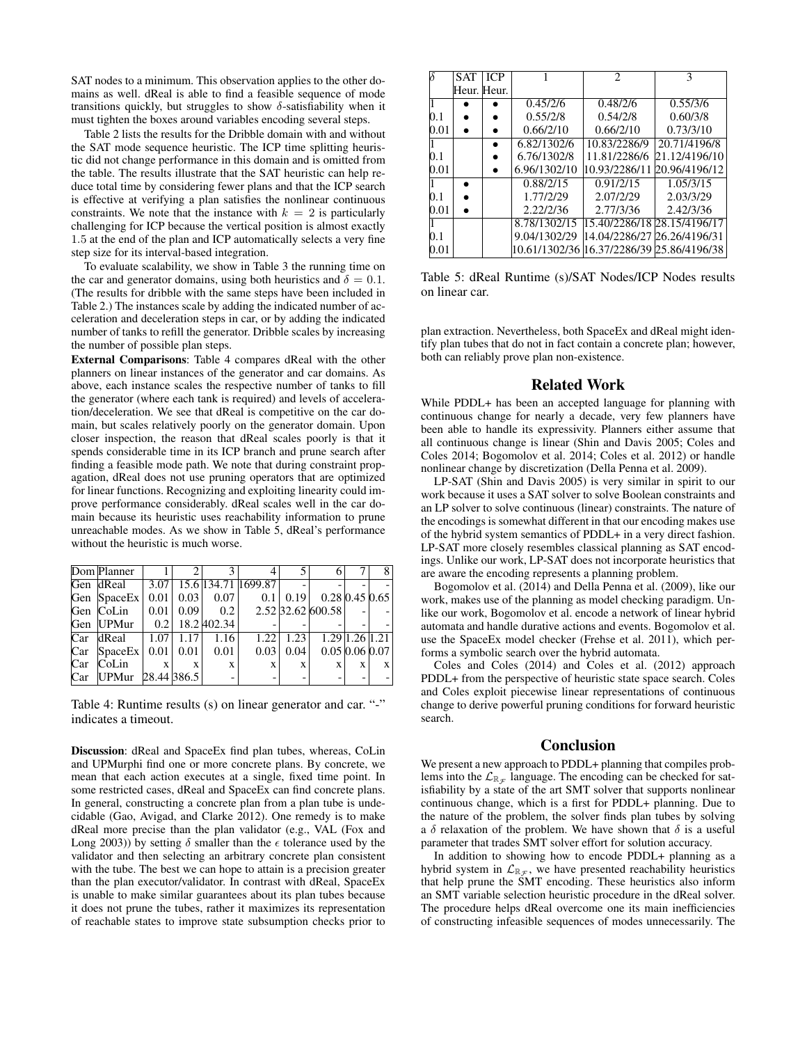SAT nodes to a minimum. This observation applies to the other domains as well. dReal is able to find a feasible sequence of mode transitions quickly, but struggles to show  $\delta$ -satisfiability when it must tighten the boxes around variables encoding several steps.

Table 2 lists the results for the Dribble domain with and without the SAT mode sequence heuristic. The ICP time splitting heuristic did not change performance in this domain and is omitted from the table. The results illustrate that the SAT heuristic can help reduce total time by considering fewer plans and that the ICP search is effective at verifying a plan satisfies the nonlinear continuous constraints. We note that the instance with  $k = 2$  is particularly challenging for ICP because the vertical position is almost exactly 1.5 at the end of the plan and ICP automatically selects a very fine step size for its interval-based integration.

To evaluate scalability, we show in Table 3 the running time on the car and generator domains, using both heuristics and  $\delta = 0.1$ . (The results for dribble with the same steps have been included in Table 2.) The instances scale by adding the indicated number of acceleration and deceleration steps in car, or by adding the indicated number of tanks to refill the generator. Dribble scales by increasing the number of possible plan steps.

External Comparisons: Table 4 compares dReal with the other planners on linear instances of the generator and car domains. As above, each instance scales the respective number of tanks to fill the generator (where each tank is required) and levels of acceleration/deceleration. We see that dReal is competitive on the car domain, but scales relatively poorly on the generator domain. Upon closer inspection, the reason that dReal scales poorly is that it spends considerable time in its ICP branch and prune search after finding a feasible mode path. We note that during constraint propagation, dReal does not use pruning operators that are optimized for linear functions. Recognizing and exploiting linearity could improve performance considerably. dReal scales well in the car domain because its heuristic uses reachability information to prune unreachable modes. As we show in Table 5, dReal's performance without the heuristic is much worse.

|     | Dom Planner       |              |                 |              |                     |                |                            |   | 8 |
|-----|-------------------|--------------|-----------------|--------------|---------------------|----------------|----------------------------|---|---|
|     | Gen dReal         | 3.07         |                 |              | 15.6 134.71 1699.87 | $\overline{a}$ |                            |   |   |
|     | Gen SpaceEx       |              | $0.01$   $0.03$ | 0.07         | 0.1                 | 0.19           | $0.28$ 0.45 0.65           |   |   |
|     | Gen CoLin         | 0.01         | 0.09            | 0.2          |                     |                | 2.52 32.62 600.58          |   |   |
|     | Gen UPMur         | 0.2          |                 | 18.2 402.34  |                     |                |                            |   |   |
|     | Car dReal         | 1.07         | 1.17            | 1.16         | 1.22                | 1.23           | $1.29 \mid 1.26 \mid 1.21$ |   |   |
| Car | SpaceEx           |              | $0.01$   0.01   | 0.01         | 0.03                | 0.04           | $0.05\,0.06\,0.07$         |   |   |
| Car | CoLin             | $\mathbf{X}$ | $\mathbf{x}$    | $\mathbf{X}$ | X                   | X              | X                          | X | X |
| Car | UPMur 28.44 386.5 |              |                 |              |                     |                |                            |   |   |

Table 4: Runtime results (s) on linear generator and car. "-" indicates a timeout.

Discussion: dReal and SpaceEx find plan tubes, whereas, CoLin and UPMurphi find one or more concrete plans. By concrete, we mean that each action executes at a single, fixed time point. In some restricted cases, dReal and SpaceEx can find concrete plans. In general, constructing a concrete plan from a plan tube is undecidable (Gao, Avigad, and Clarke 2012). One remedy is to make dReal more precise than the plan validator (e.g., VAL (Fox and Long 2003)) by setting  $\delta$  smaller than the  $\epsilon$  tolerance used by the validator and then selecting an arbitrary concrete plan consistent with the tube. The best we can hope to attain is a precision greater than the plan executor/validator. In contrast with dReal, SpaceEx is unable to make similar guarantees about its plan tubes because it does not prune the tubes, rather it maximizes its representation of reachable states to improve state subsumption checks prior to

|      | SAT         | <b>ICP</b> |              | 2                                         | 3             |
|------|-------------|------------|--------------|-------------------------------------------|---------------|
|      | Heur. Heur. |            |              |                                           |               |
|      |             |            | 0.45/2/6     | 0.48/2/6                                  | 0.55/3/6      |
| 0.1  |             |            | 0.55/2/8     | 0.54/2/8                                  | 0.60/3/8      |
| 0.01 |             |            | 0.66/2/10    | 0.66/2/10                                 | 0.73/3/10     |
|      |             |            | 6.82/1302/6  | 10.83/2286/9                              | 20.71/4196/8  |
| 0.1  |             |            | 6.76/1302/8  | 11.81/2286/6                              | 21.12/4196/10 |
| 0.01 |             |            | 6.96/1302/10 | 10.93/2286/11                             | 20.96/4196/12 |
|      |             |            | 0.88/2/15    | 0.91/2/15                                 | 1.05/3/15     |
| 0.1  |             |            | 1.77/2/29    | 2.07/2/29                                 | 2.03/3/29     |
| 0.01 |             |            | 2.22/2/36    | 2.77/3/36                                 | 2.42/3/36     |
|      |             |            | 8.78/1302/15 | 15.40/2286/18 28.15/4196/17               |               |
| 0.1  |             |            | 9.04/1302/29 | 14.04/2286/27 26.26/4196/31               |               |
| 0.01 |             |            |              | 10.61/1302/36 16.37/2286/39 25.86/4196/38 |               |

Table 5: dReal Runtime (s)/SAT Nodes/ICP Nodes results on linear car.

plan extraction. Nevertheless, both SpaceEx and dReal might identify plan tubes that do not in fact contain a concrete plan; however, both can reliably prove plan non-existence.

## Related Work

While PDDL+ has been an accepted language for planning with continuous change for nearly a decade, very few planners have been able to handle its expressivity. Planners either assume that all continuous change is linear (Shin and Davis 2005; Coles and Coles 2014; Bogomolov et al. 2014; Coles et al. 2012) or handle nonlinear change by discretization (Della Penna et al. 2009).

LP-SAT (Shin and Davis 2005) is very similar in spirit to our work because it uses a SAT solver to solve Boolean constraints and an LP solver to solve continuous (linear) constraints. The nature of the encodings is somewhat different in that our encoding makes use of the hybrid system semantics of PDDL+ in a very direct fashion. LP-SAT more closely resembles classical planning as SAT encodings. Unlike our work, LP-SAT does not incorporate heuristics that are aware the encoding represents a planning problem.

Bogomolov et al. (2014) and Della Penna et al. (2009), like our work, makes use of the planning as model checking paradigm. Unlike our work, Bogomolov et al. encode a network of linear hybrid automata and handle durative actions and events. Bogomolov et al. use the SpaceEx model checker (Frehse et al. 2011), which performs a symbolic search over the hybrid automata.

Coles and Coles (2014) and Coles et al. (2012) approach PDDL+ from the perspective of heuristic state space search. Coles and Coles exploit piecewise linear representations of continuous change to derive powerful pruning conditions for forward heuristic search.

## Conclusion

We present a new approach to PDDL+ planning that compiles problems into the  $\mathcal{L}_{\mathbb{R}_{\mathcal{F}}}$  language. The encoding can be checked for satisfiability by a state of the art SMT solver that supports nonlinear continuous change, which is a first for PDDL+ planning. Due to the nature of the problem, the solver finds plan tubes by solving a  $\delta$  relaxation of the problem. We have shown that  $\delta$  is a useful parameter that trades SMT solver effort for solution accuracy.

In addition to showing how to encode PDDL+ planning as a hybrid system in  $\mathcal{L}_{\mathbb{R}_{\mathcal{F}}}$ , we have presented reachability heuristics that help prune the SMT encoding. These heuristics also inform an SMT variable selection heuristic procedure in the dReal solver. The procedure helps dReal overcome one its main inefficiencies of constructing infeasible sequences of modes unnecessarily. The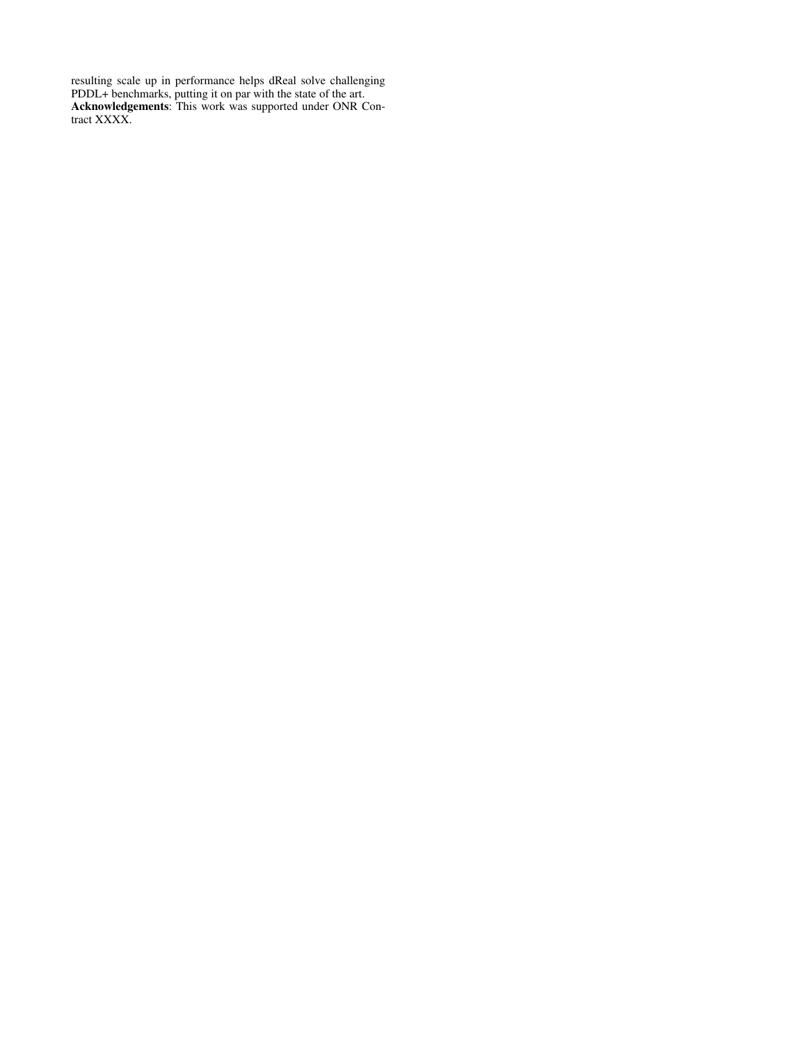resulting scale up in performance helps dReal solve challenging PDDL+ benchmarks, putting it on par with the state of the art. Acknowledgements: This work was supported under ONR Contract XXXX.